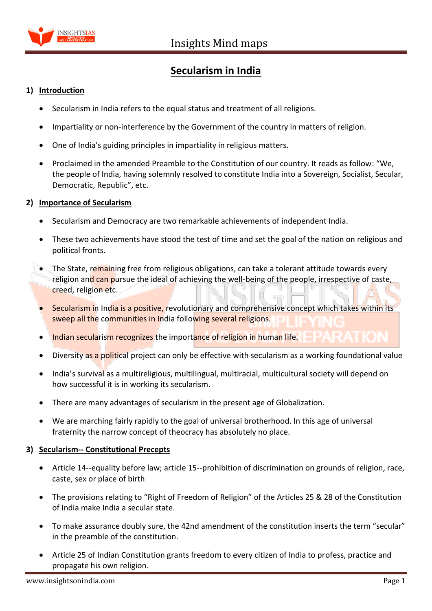

# **Secularism in India**

# **1) Introduction**

- Secularism in India refers to the equal status and treatment of all religions.
- Impartiality or non-interference by the Government of the country in matters of religion.
- One of India's guiding principles in impartiality in religious matters.
- Proclaimed in the amended Preamble to the Constitution of our country. It reads as follow: "We, the people of India, having solemnly resolved to constitute India into a Sovereign, Socialist, Secular, Democratic, Republic", etc.

# **2) Importance of Secularism**

- Secularism and Democracy are two remarkable achievements of independent India.
- These two achievements have stood the test of time and set the goal of the nation on religious and political fronts.
- The State, remaining free from religious obligations, can take a tolerant attitude towards every religion and can pursue the ideal of achieving the well-being of the people, irrespective of caste, creed, religion etc.
- Secularism in India is a positive, revolutionary and comprehensive concept which takes within its sweep all the communities in India following several religions.
- Indian secularism recognizes the importance of religion in human life.
- Diversity as a political project can only be effective with secularism as a working foundational value
- India's survival as a multireligious, multilingual, multiracial, multicultural society will depend on how successful it is in working its secularism.
- There are many advantages of secularism in the present age of Globalization.
- We are marching fairly rapidly to the goal of universal brotherhood. In this age of universal fraternity the narrow concept of theocracy has absolutely no place.

# **3) Secularism-- Constitutional Precepts**

- Article 14--equality before law; article 15--prohibition of discrimination on grounds of religion, race, caste, sex or place of birth
- The provisions relating to "Right of Freedom of Religion" of the Articles 25 & 28 of the Constitution of India make India a secular state.
- To make assurance doubly sure, the 42nd amendment of the constitution inserts the term "secular" in the preamble of the constitution.
- Article 25 of Indian Constitution grants freedom to every citizen of India to profess, practice and propagate his own religion.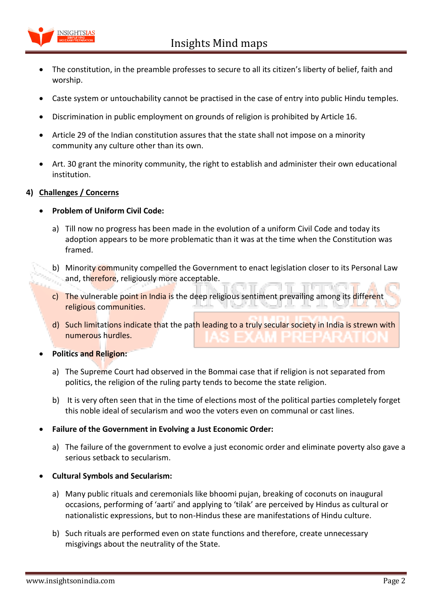

- The constitution, in the preamble professes to secure to all its citizen's liberty of belief, faith and worship.
- Caste system or untouchability cannot be practised in the case of entry into public Hindu temples.
- Discrimination in public employment on grounds of religion is prohibited by Article 16.
- Article 29 of the Indian constitution assures that the state shall not impose on a minority community any culture other than its own.
- Art. 30 grant the minority community, the right to establish and administer their own educational institution.

# **4) Challenges / Concerns**

#### **Problem of Uniform Civil Code:**

- a) Till now no progress has been made in the evolution of a uniform Civil Code and today its adoption appears to be more problematic than it was at the time when the Constitution was framed.
- b) Minority community compelled the Government to enact legislation closer to its Personal Law and, therefore, religiously more acceptable.
- c) The vulnerable point in India is the deep religious sentiment prevailing among its different religious communities.
- d) Such limitations indicate that the path leading to a truly secular society in India is strewn with numerous hurdles.

#### **Politics and Religion:**

- a) The Supreme Court had observed in the Bommai case that if religion is not separated from politics, the religion of the ruling party tends to become the state religion.
- b) It is very often seen that in the time of elections most of the political parties completely forget this noble ideal of secularism and woo the voters even on communal or cast lines.

#### **Failure of the Government in Evolving a Just Economic Order:**

a) The failure of the government to evolve a just economic order and eliminate poverty also gave a serious setback to secularism.

# **Cultural Symbols and Secularism:**

- a) Many public rituals and ceremonials like bhoomi pujan, breaking of coconuts on inaugural occasions, performing of 'aarti' and applying to 'tilak' are perceived by Hindus as cultural or nationalistic expressions, but to non-Hindus these are manifestations of Hindu culture.
- b) Such rituals are performed even on state functions and therefore, create unnecessary misgivings about the neutrality of the State.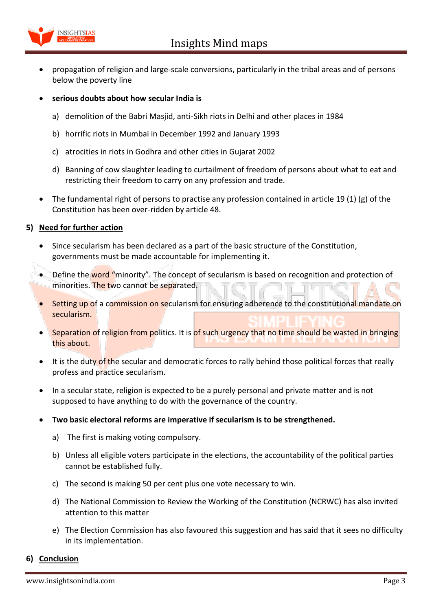

- propagation of religion and large-scale conversions, particularly in the tribal areas and of persons below the poverty line
- **serious doubts about how secular India is**
	- a) demolition of the Babri Masjid, anti-Sikh riots in Delhi and other places in 1984
	- b) horrific riots in Mumbai in December 1992 and January 1993
	- c) atrocities in riots in Godhra and other cities in Gujarat 2002
	- d) Banning of cow slaughter leading to curtailment of freedom of persons about what to eat and restricting their freedom to carry on any profession and trade.
- The fundamental right of persons to practise any profession contained in article 19 (1) (g) of the Constitution has been over-ridden by article 48.

# **5) Need for further action**

- Since secularism has been declared as a part of the basic structure of the Constitution, governments must be made accountable for implementing it.
- Define the word "minority". The concept of secularism is based on recognition and protection of minorities. The two cannot be separated.
- Setting up of a commission on secularism for ensuring adherence to the constitutional mandate on secularism.
- Separation of religion from politics. It is of such urgency that no time should be wasted in bringing this about.
- It is the duty of the secular and democratic forces to rally behind those political forces that really profess and practice secularism.
- In a secular state, religion is expected to be a purely personal and private matter and is not supposed to have anything to do with the governance of the country.
- **Two basic electoral reforms are imperative if secularism is to be strengthened.** 
	- a) The first is making voting compulsory.
	- b) Unless all eligible voters participate in the elections, the accountability of the political parties cannot be established fully.
	- c) The second is making 50 per cent plus one vote necessary to win.
	- d) The National Commission to Review the Working of the Constitution (NCRWC) has also invited attention to this matter
	- e) The Election Commission has also favoured this suggestion and has said that it sees no difficulty in its implementation.

# **6) Conclusion**